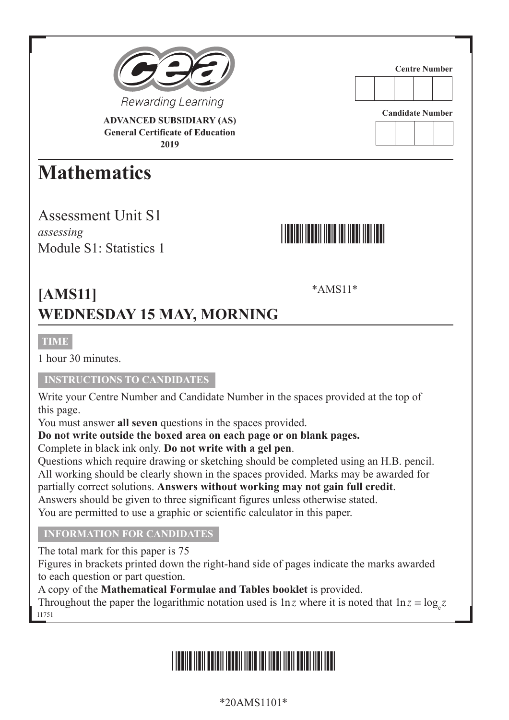

**ADVANCED SUBSIDIARY (AS) General Certificate of Education 2019**

## **Mathematics**

Assessment Unit S1 *assessing* Module S1<sup>-</sup> Statistics 1

# \*AMS11\*

**Centre Number**

**Candidate Number**

\*AMS11\*

## **[AMS11] WEDNESDAY 15 MAY, MORNING**

#### **TIME**

1 hour 30 minutes.

#### **INSTRUCTIONS TO CANDIDATES**

Write your Centre Number and Candidate Number in the spaces provided at the top of this page.

You must answer **all seven** questions in the spaces provided.

**Do not write outside the boxed area on each page or on blank pages.**

Complete in black ink only. **Do not write with a gel pen**.

Questions which require drawing or sketching should be completed using an H.B. pencil. All working should be clearly shown in the spaces provided. Marks may be awarded for partially correct solutions. **Answers without working may not gain full credit**. Answers should be given to three significant figures unless otherwise stated. You are permitted to use a graphic or scientific calculator in this paper.

#### **INFORMATION FOR CANDIDATES INFORMATION FOR CANDIDATES**

The total mark for this paper is 75

Figures in brackets printed down the right-hand side of pages indicate the marks awarded to each question or part question.

A copy of the **Mathematical Formulae and Tables booklet** is provided.

11751 Throughout the paper the logarithmic notation used is  $\ln z$  where it is noted that  $\ln z \equiv \log_z z$ 

## \*20AMS1101\*

\*20AMS1101\*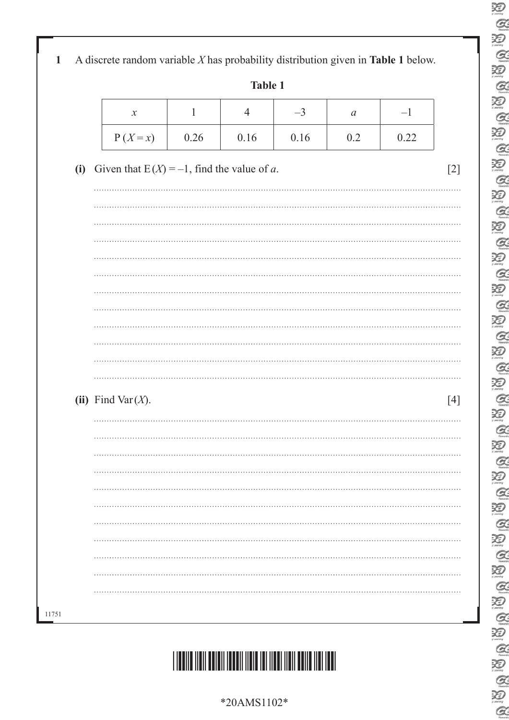E<br>E S Q B  $\alpha$ E<br>Q 30  $\text{\rm Re}\left[\text{\rm Re}\left[\text{\rm Re}\left[\text{\rm Re}\left[\text{\rm Re}\left[\text{\rm Re}\left[\text{\rm Re}\left[\text{\rm Re}\left[\text{\rm Re}\left[\text{\rm Re}\left[\text{\rm Re}\left[\text{\rm Re}\right]\right]\right]\right]\right]\right]\right]\right)\right]\right]$ 20<br>Q  $\alpha$ 

|     |                                               |      | <b>Table 1</b> |      |               |      |
|-----|-----------------------------------------------|------|----------------|------|---------------|------|
|     | $\boldsymbol{\mathcal{X}}$                    | 1    | 4              | $-3$ | $\mathfrak a$ | $-1$ |
|     | $P(X=x)$                                      | 0.26 | 0.16           | 0.16 | 0.2           | 0.22 |
| (i) | Given that $E(X) = -1$ , find the value of a. |      |                |      |               |      |
|     |                                               |      |                |      |               |      |
|     |                                               |      |                |      |               |      |
|     |                                               |      |                |      |               |      |
|     |                                               |      |                |      |               |      |
|     |                                               |      |                |      |               |      |
|     |                                               |      |                |      |               |      |
|     |                                               |      |                |      |               |      |
|     |                                               |      |                |      |               |      |
|     |                                               |      |                |      |               |      |
|     |                                               |      |                |      |               |      |
|     |                                               |      |                |      |               |      |
|     |                                               |      |                |      |               |      |
|     | (ii) Find Var $(X)$ .                         |      |                |      |               |      |
|     |                                               |      |                |      |               |      |
|     |                                               |      |                |      |               |      |
|     |                                               |      |                |      |               |      |
|     |                                               |      |                |      |               |      |
|     |                                               |      |                |      |               |      |



11751

\*20AMS1102\*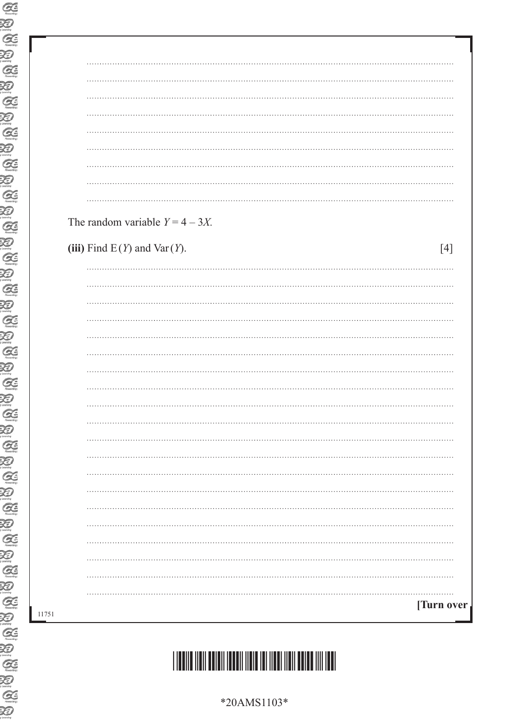|  | The random variable $Y = 4 - 3X$ . |  |  |  |            |
|--|------------------------------------|--|--|--|------------|
|  |                                    |  |  |  |            |
|  | (iii) Find $E(Y)$ and $Var(Y)$ .   |  |  |  | $[4]$      |
|  |                                    |  |  |  |            |
|  |                                    |  |  |  |            |
|  |                                    |  |  |  |            |
|  |                                    |  |  |  |            |
|  |                                    |  |  |  |            |
|  |                                    |  |  |  |            |
|  |                                    |  |  |  |            |
|  |                                    |  |  |  |            |
|  |                                    |  |  |  |            |
|  |                                    |  |  |  |            |
|  |                                    |  |  |  |            |
|  |                                    |  |  |  |            |
|  |                                    |  |  |  |            |
|  |                                    |  |  |  |            |
|  |                                    |  |  |  |            |
|  |                                    |  |  |  |            |
|  |                                    |  |  |  |            |
|  |                                    |  |  |  |            |
|  |                                    |  |  |  |            |
|  |                                    |  |  |  |            |
|  |                                    |  |  |  |            |
|  |                                    |  |  |  |            |
|  |                                    |  |  |  | [Turn over |

# \*20AMS1103\*

\*20AMS1103\*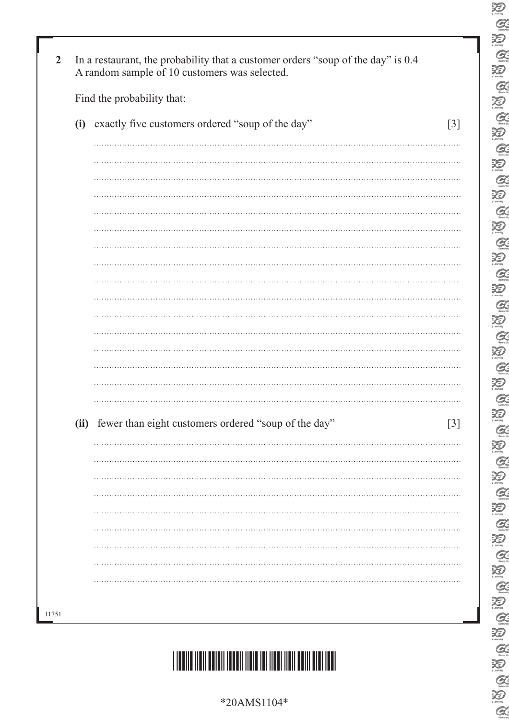| Find the probability that:                                |  |
|-----------------------------------------------------------|--|
| (i) exactly five customers ordered "soup of the day"      |  |
|                                                           |  |
|                                                           |  |
|                                                           |  |
|                                                           |  |
|                                                           |  |
|                                                           |  |
|                                                           |  |
|                                                           |  |
|                                                           |  |
|                                                           |  |
|                                                           |  |
|                                                           |  |
|                                                           |  |
|                                                           |  |
|                                                           |  |
|                                                           |  |
|                                                           |  |
| (ii) fewer than eight customers ordered "soup of the day" |  |
|                                                           |  |
|                                                           |  |
|                                                           |  |
|                                                           |  |
|                                                           |  |
|                                                           |  |
|                                                           |  |
|                                                           |  |

E<br>C

S Q B

 $\alpha$  $\sum_{i \text{learning}}$  $Q$ 

E

**QUEQUE** 

E<br>Q

3

**AUGAUGAU** 

20

**BBBB** 

U Q Q

E<br>E

US Q US Q US Q US

 $Q$ 



\*20AMS1104\*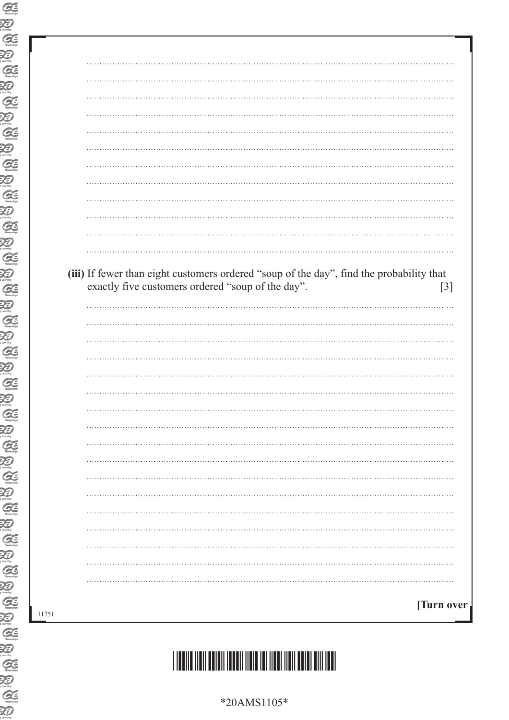| (iii) If fewer than eight customers ordered "soup of the day", find the probability that<br>exactly five customers ordered "soup of the day".<br>. | $[3]$ |
|----------------------------------------------------------------------------------------------------------------------------------------------------|-------|
|                                                                                                                                                    |       |
|                                                                                                                                                    |       |
|                                                                                                                                                    |       |
|                                                                                                                                                    |       |
|                                                                                                                                                    |       |
|                                                                                                                                                    |       |
|                                                                                                                                                    |       |
|                                                                                                                                                    |       |
|                                                                                                                                                    |       |
|                                                                                                                                                    |       |
|                                                                                                                                                    |       |
|                                                                                                                                                    |       |
|                                                                                                                                                    |       |
|                                                                                                                                                    |       |
|                                                                                                                                                    |       |
|                                                                                                                                                    |       |
|                                                                                                                                                    |       |

\*20AMS1105\*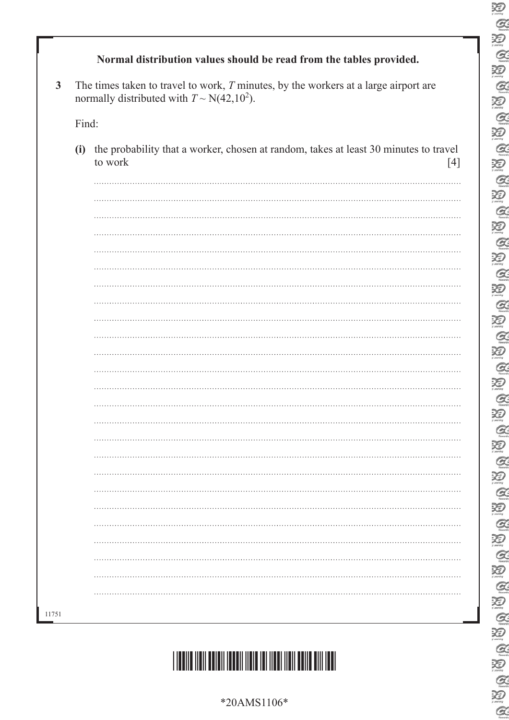### \*20AMS1106\*



|       | The times taken to travel to work, $T$ minutes, by the workers at a large airport are<br>normally distributed with $T \sim N(42, 10^2)$ . |
|-------|-------------------------------------------------------------------------------------------------------------------------------------------|
| Find: |                                                                                                                                           |
| (i)   | the probability that a worker, chosen at random, takes at least 30 minutes to travel<br>to work<br>$[4]$                                  |
|       |                                                                                                                                           |
|       |                                                                                                                                           |
|       |                                                                                                                                           |
|       |                                                                                                                                           |
|       |                                                                                                                                           |
|       |                                                                                                                                           |
|       |                                                                                                                                           |
|       |                                                                                                                                           |
|       |                                                                                                                                           |
|       |                                                                                                                                           |
|       |                                                                                                                                           |
|       |                                                                                                                                           |
|       |                                                                                                                                           |
|       |                                                                                                                                           |
|       |                                                                                                                                           |
|       |                                                                                                                                           |
|       |                                                                                                                                           |
|       |                                                                                                                                           |
|       |                                                                                                                                           |
|       |                                                                                                                                           |
|       |                                                                                                                                           |
|       |                                                                                                                                           |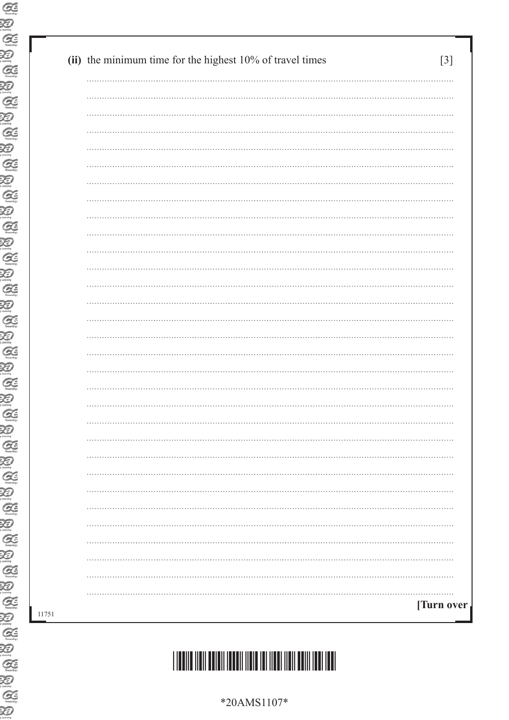| [Turn over |
|------------|
|            |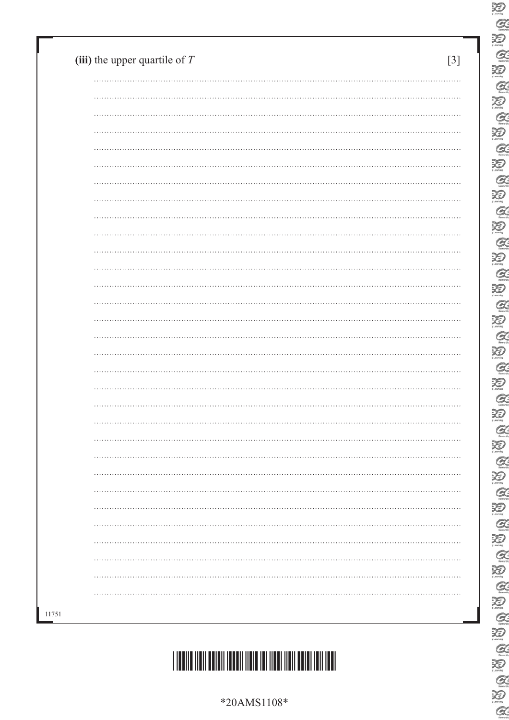\*20AMS1108\*



| (iii) the upper quartile of $T$ | $[3]$ |
|---------------------------------|-------|
|                                 |       |
|                                 |       |
|                                 |       |
|                                 |       |
|                                 |       |
|                                 |       |
|                                 |       |
|                                 |       |
|                                 |       |
|                                 |       |
|                                 |       |
|                                 |       |
|                                 |       |
|                                 |       |
|                                 |       |
|                                 |       |
|                                 |       |
|                                 |       |
|                                 |       |
|                                 |       |
|                                 | .     |
|                                 |       |
|                                 |       |
|                                 |       |
|                                 |       |
|                                 |       |
|                                 |       |
|                                 |       |
|                                 |       |
|                                 |       |
|                                 |       |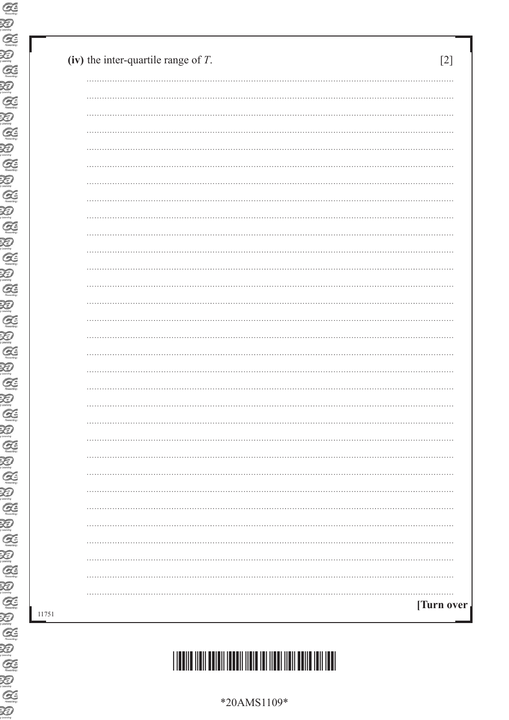|  | *20AMS1109* |
|--|-------------|

# \*20AMS1109\*

| (iv) the inter-quartile range of $T$ . | $[2]$      |
|----------------------------------------|------------|
|                                        |            |
|                                        |            |
|                                        |            |
|                                        |            |
|                                        |            |
|                                        |            |
|                                        |            |
|                                        |            |
|                                        |            |
|                                        |            |
|                                        |            |
|                                        |            |
|                                        |            |
|                                        |            |
|                                        |            |
|                                        |            |
|                                        |            |
|                                        |            |
|                                        |            |
|                                        |            |
|                                        |            |
|                                        |            |
|                                        |            |
|                                        |            |
|                                        |            |
|                                        |            |
|                                        |            |
|                                        |            |
|                                        |            |
|                                        |            |
|                                        |            |
|                                        | [Turn over |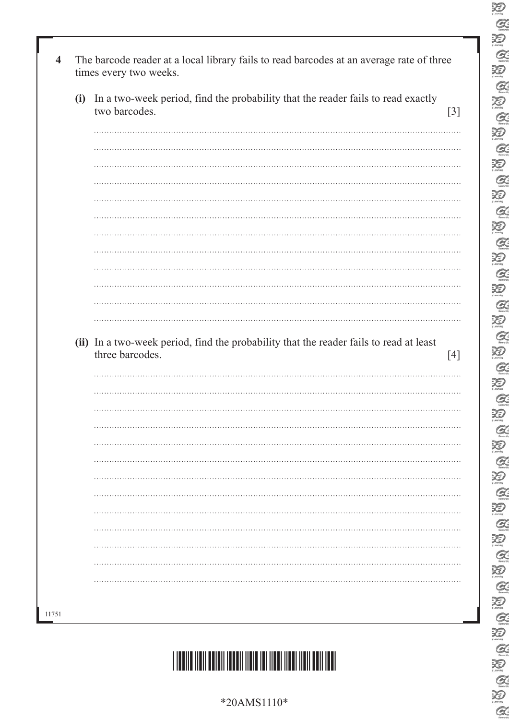| (i) In a two-week period, find the probability that the reader fails to read exactly<br>two barcodes. |
|-------------------------------------------------------------------------------------------------------|
|                                                                                                       |
|                                                                                                       |
|                                                                                                       |
|                                                                                                       |
|                                                                                                       |
|                                                                                                       |
|                                                                                                       |
|                                                                                                       |
|                                                                                                       |
|                                                                                                       |
|                                                                                                       |
|                                                                                                       |
| (ii) In a two-week period, find the probability that the reader fails to read at least                |
| three barcodes.                                                                                       |
|                                                                                                       |
|                                                                                                       |
| .                                                                                                     |
|                                                                                                       |
|                                                                                                       |
|                                                                                                       |
|                                                                                                       |
|                                                                                                       |
|                                                                                                       |
|                                                                                                       |
|                                                                                                       |
|                                                                                                       |

E<br>C

E<br>C

 $\overline{\mathcal{Z}}$ 

E<br>E

 $\alpha$ 

20

**QUEQUE** 

**AUGAU** 

**AUGAUGAU** 

E<br>E

U Q U Q

B A B A B

 $Q$ 



\*20AMS1110\*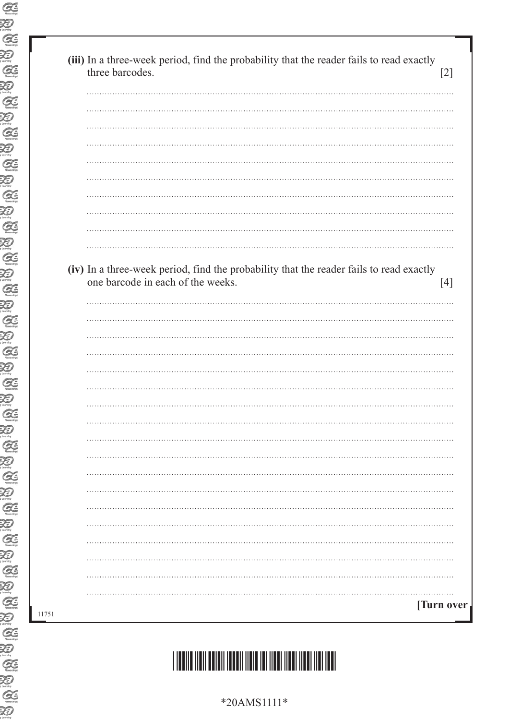| (iv) In a three-week period, find the probability that the reader fails to read exactly<br>one barcode in each of the weeks. | $[4]$            |
|------------------------------------------------------------------------------------------------------------------------------|------------------|
|                                                                                                                              |                  |
|                                                                                                                              |                  |
|                                                                                                                              |                  |
|                                                                                                                              |                  |
|                                                                                                                              |                  |
|                                                                                                                              |                  |
|                                                                                                                              |                  |
|                                                                                                                              |                  |
|                                                                                                                              |                  |
|                                                                                                                              |                  |
|                                                                                                                              |                  |
|                                                                                                                              |                  |
|                                                                                                                              |                  |
|                                                                                                                              |                  |
|                                                                                                                              |                  |
|                                                                                                                              |                  |
|                                                                                                                              |                  |
|                                                                                                                              | <b>Turn over</b> |

#### \*20AMS1111\*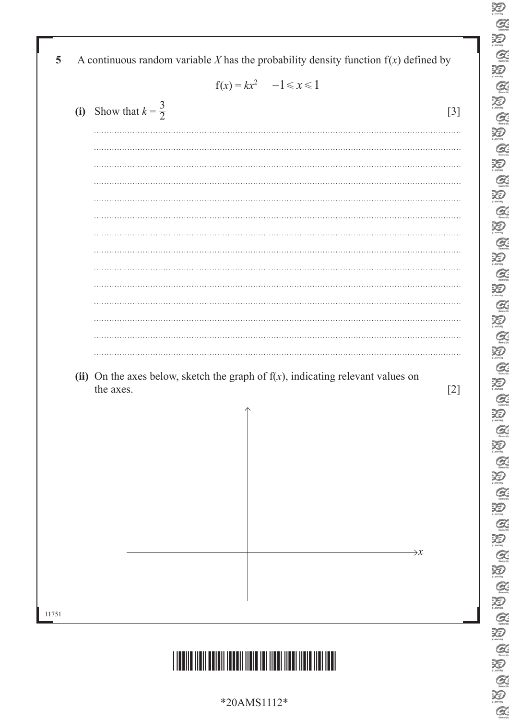|                                 | $f(x) = kx^2$ $-1 \le x \le 1$                                                              |
|---------------------------------|---------------------------------------------------------------------------------------------|
| (i) Show that $k = \frac{3}{2}$ | $[3]$                                                                                       |
|                                 |                                                                                             |
|                                 |                                                                                             |
|                                 |                                                                                             |
|                                 |                                                                                             |
|                                 |                                                                                             |
|                                 |                                                                                             |
|                                 |                                                                                             |
|                                 |                                                                                             |
|                                 |                                                                                             |
|                                 |                                                                                             |
|                                 |                                                                                             |
|                                 |                                                                                             |
| the axes.                       | (ii) On the axes below, sketch the graph of $f(x)$ , indicating relevant values on<br>$[2]$ |
|                                 | $\uparrow$                                                                                  |
|                                 |                                                                                             |
|                                 |                                                                                             |
|                                 |                                                                                             |
|                                 |                                                                                             |
|                                 |                                                                                             |
|                                 |                                                                                             |
|                                 | $\rightarrow x$                                                                             |
|                                 |                                                                                             |
|                                 |                                                                                             |

\*20AMS1112\*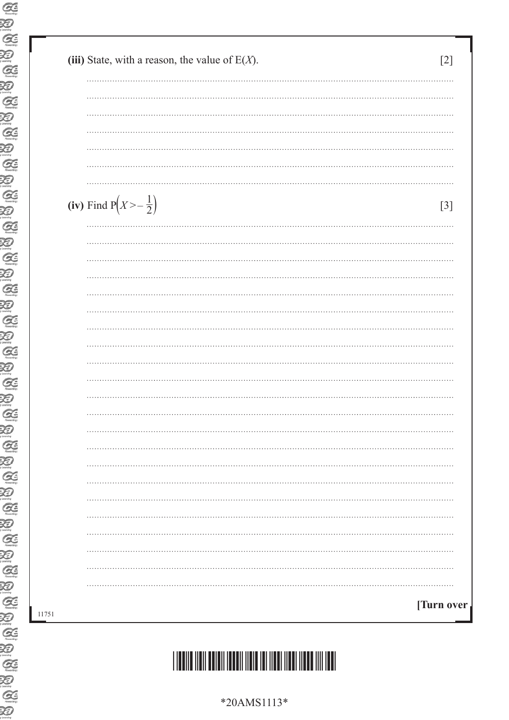| (iii) State, with a reason, the value of $E(X)$ . | [2]   |
|---------------------------------------------------|-------|
|                                                   |       |
|                                                   |       |
|                                                   |       |
|                                                   |       |
|                                                   |       |
|                                                   |       |
|                                                   |       |
| (iv) Find $P(X > -\frac{1}{2})$                   | $[3]$ |
|                                                   |       |
|                                                   |       |
|                                                   |       |
|                                                   |       |
|                                                   |       |
|                                                   |       |
|                                                   |       |
|                                                   |       |
|                                                   |       |
|                                                   |       |
|                                                   |       |
|                                                   |       |
| .                                                 |       |
|                                                   |       |
|                                                   |       |
|                                                   |       |
|                                                   |       |
|                                                   |       |
|                                                   |       |
|                                                   |       |
|                                                   |       |
|                                                   |       |
|                                                   |       |
| [Turn over]                                       |       |

# \*20AMS1113\*

\*20AMS1113\*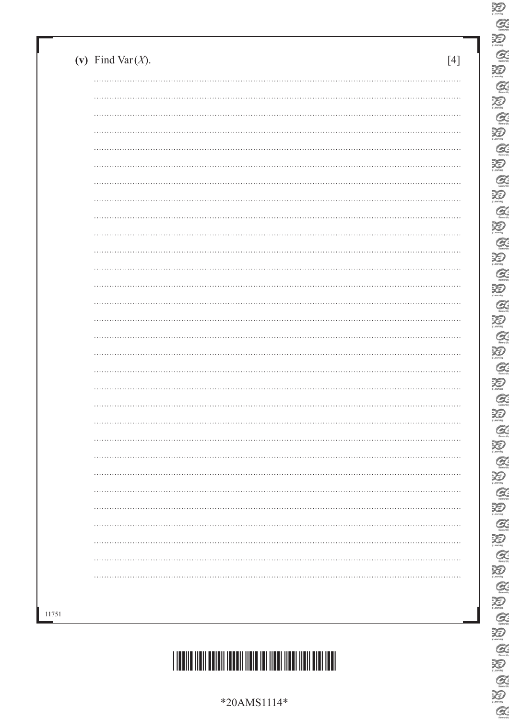| (v) Find Var $(X)$ . | [4]      |
|----------------------|----------|
|                      |          |
| $\cdots$             |          |
|                      |          |
|                      |          |
| $\cdots$             |          |
|                      |          |
|                      |          |
| $\cdots$             |          |
|                      |          |
| $\cdots$             | $\cdots$ |
|                      |          |
|                      |          |
| $\cdots$             | $\cdots$ |
|                      |          |
|                      |          |
| $\cdots$             |          |
|                      |          |
|                      |          |
|                      |          |
|                      |          |
|                      |          |
|                      |          |
|                      |          |
|                      |          |
|                      |          |
|                      | .        |
|                      |          |
|                      |          |



E<br>C  $\overline{\mathcal{Z}}$  $\mathcal{Q}$  $\sum_{\text{learning}}$  $\alpha$  $\sum_{i \text{learning}}$  $\alpha$ E 泡  $\alpha$  $\sum_{\text{learning}}$  $\alpha$ 20<br>Q  $\bigotimes$  $\alpha$ 迴  $\mathcal{Q}$ 20<br>Q  $\sum_{\text{mean}}$  $\alpha$  $\sum_{\text{norm}}$  $\alpha$  $\sum_{n \text{ terms}}$  $\alpha$  $\overline{\mathbf{X}}$  $Q$  $\sum_{\text{learning}}$  $\alpha$ 酒  $\mathcal{Q}$ 迴 E<br>E  $\alpha$ U Q Q E<br>E  $\frac{1}{2}$ 

 $\alpha$ 

\*20AMS1114\*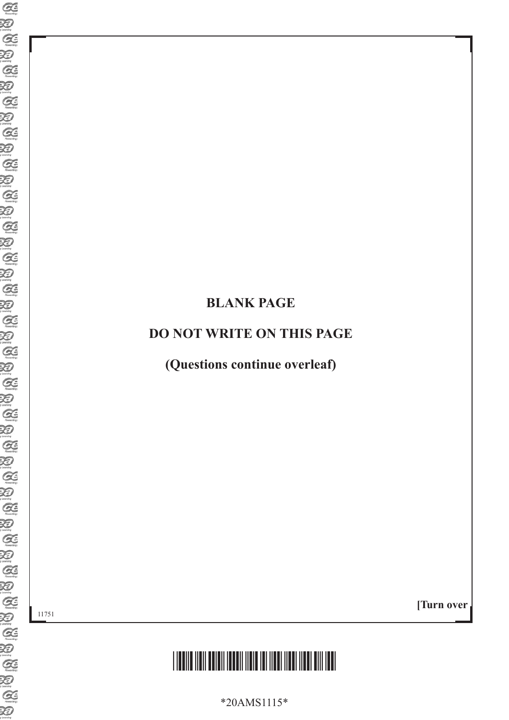### **BLANK PAGE**

#### **DO NOT WRITE ON THIS PAGE**

**(Questions continue overleaf)**

11751

**[Turn over**



\*20AMS1115\*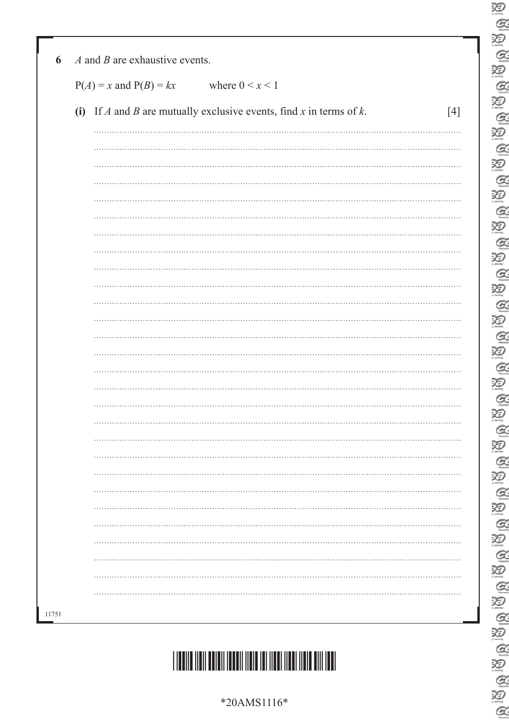| $P(A) = x$ and $P(B) = kx$ | where $0 \leq x \leq 1$                                                |       |
|----------------------------|------------------------------------------------------------------------|-------|
|                            | (i) If A and B are mutually exclusive events, find x in terms of $k$ . | $[4]$ |
|                            |                                                                        |       |
|                            |                                                                        |       |
|                            |                                                                        |       |
|                            |                                                                        |       |
|                            |                                                                        |       |
|                            |                                                                        |       |
|                            |                                                                        |       |
|                            |                                                                        |       |
|                            |                                                                        |       |
|                            |                                                                        |       |
|                            |                                                                        |       |
|                            |                                                                        |       |
|                            |                                                                        |       |
|                            |                                                                        |       |
|                            |                                                                        |       |
|                            |                                                                        | .     |
|                            |                                                                        |       |
|                            |                                                                        |       |
|                            |                                                                        |       |
|                            |                                                                        |       |
|                            |                                                                        |       |
|                            |                                                                        |       |
|                            |                                                                        |       |
|                            |                                                                        | .     |

# \*20AMS1116\*

11751

\*20AMS1116\*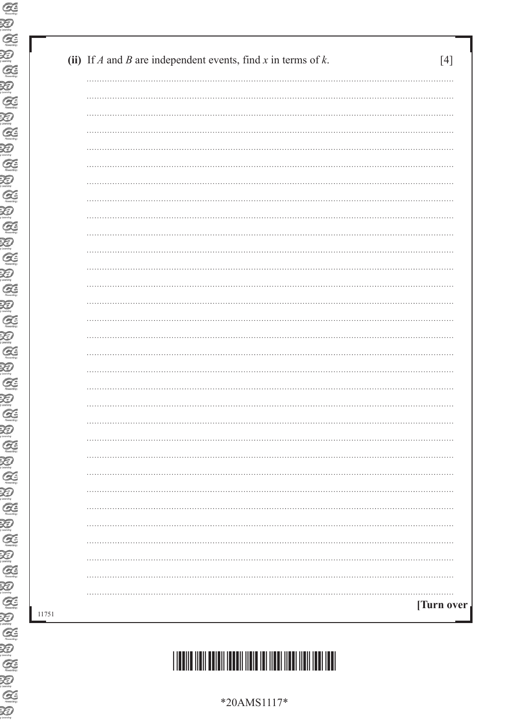| (ii) If A and B are independent events, find x in terms of k. | [4]        |
|---------------------------------------------------------------|------------|
|                                                               |            |
|                                                               |            |
|                                                               |            |
|                                                               |            |
|                                                               |            |
|                                                               |            |
|                                                               |            |
|                                                               |            |
|                                                               |            |
|                                                               |            |
|                                                               |            |
|                                                               |            |
|                                                               |            |
|                                                               |            |
|                                                               |            |
|                                                               |            |
|                                                               |            |
|                                                               |            |
|                                                               |            |
|                                                               |            |
|                                                               |            |
|                                                               |            |
|                                                               |            |
|                                                               |            |
|                                                               |            |
|                                                               |            |
|                                                               |            |
|                                                               |            |
|                                                               |            |
|                                                               | [Turn over |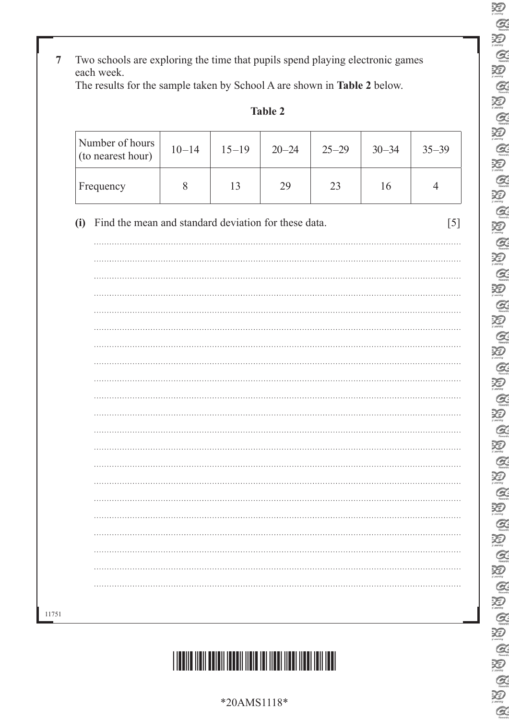### **7** Two schools are exploring the time that pupils spend playing electronic games each week.

The results for the sample taken by School A are shown in **Table 2** below.

| anie |  |
|------|--|
|------|--|

| Number of hours<br>(to nearest hour)                        | $10 - 14$ | $15 - 19$ | $20 - 24$ | $25 - 29$ | $30 - 34$ | $35 - 39$      |
|-------------------------------------------------------------|-----------|-----------|-----------|-----------|-----------|----------------|
| Frequency                                                   | 8         | 13        | 29        | 23        | 16        | $\overline{4}$ |
| Find the mean and standard deviation for these data.<br>(i) |           |           |           |           |           | [5]            |
|                                                             |           |           |           |           |           |                |
|                                                             |           |           |           |           |           |                |
|                                                             |           |           |           |           |           |                |
|                                                             |           |           |           |           |           |                |
|                                                             |           |           |           |           |           |                |
|                                                             |           |           |           |           |           |                |
|                                                             |           |           |           |           |           |                |
|                                                             |           |           |           |           |           |                |
|                                                             |           |           |           |           |           |                |
|                                                             |           |           |           |           |           |                |
|                                                             |           |           |           |           |           |                |
|                                                             |           |           |           |           |           |                |
|                                                             |           |           |           |           |           |                |
|                                                             |           |           |           |           |           |                |
|                                                             |           |           |           |           |           |                |
|                                                             |           |           |           |           |           |                |
|                                                             |           |           |           |           |           |                |
|                                                             |           |           |           |           |           |                |



11751

 $\sum_{\mu}$  $Q$  $\mathcal{Z}$  $\bigotimes_{\text{Rausch}}$ 泡  $\alpha$ 泡  $Q$  $\sum_{\text{learning}}$  $\mathcal{Q}$ 泪  $\mathcal{Q}$  $\sum_{i \in \mathcal{I}}$  $\alpha$  $\sum_{n \in \mathbb{N}}$  $\alpha$  $\sum_{i \text{ country}}$  $Q$ 泪  $\alpha$ 泡  $\mathcal{Q}$  $\sum_{\mu \text{ boundary}}$  $\alpha$  $\sum_{\mu}$  $\alpha$ 泪  $Q$ 泪  $Q$  $\sum_{i \text{ learning}}$  $\alpha$ 泡  $\alpha$ 泪  $Q$  $\sum_{i \text{learning}}$  $Q$ U Q Q  $\mathbb{Z}$ 

 $\alpha$ 

\*20AMS1118\*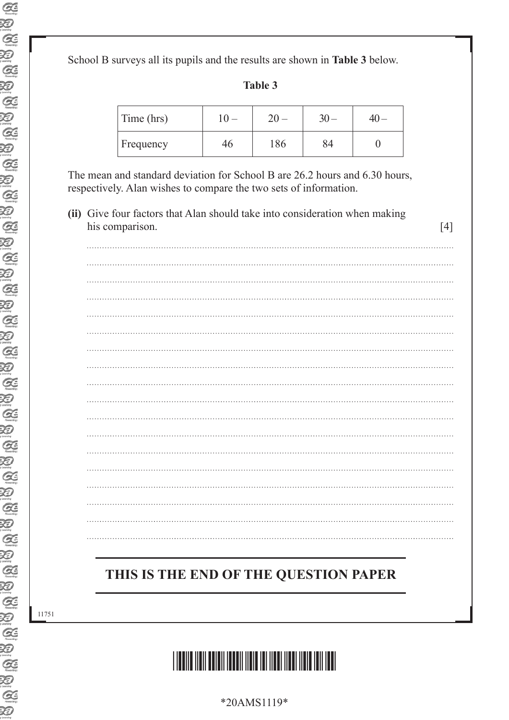School B surveys all its pupils and the results are shown in **Table 3** below.

| Time (hrs) |     |  |
|------------|-----|--|
| Frequency  | 186 |  |

The mean and standard deviation for School B are 26.2 hours and 6.30 hours, respectively. Alan wishes to compare the two sets of information.

**(ii)** Give four factors that Alan should take into consideration when making his comparison. [4]

## **THIS IS THE END OF THE QUESTION PAPER**